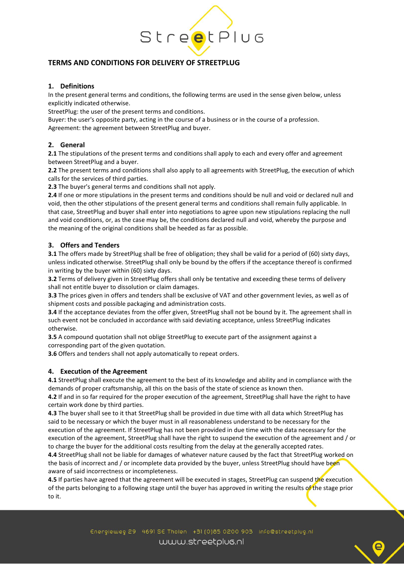

# **TERMS AND CONDITIONS FOR DELIVERY OF STREETPLUG**

# **1. Definitions**

In the present general terms and conditions, the following terms are used in the sense given below, unless explicitly indicated otherwise.

StreetPlug: the user of the present terms and conditions.

Buyer: the user's opposite party, acting in the course of a business or in the course of a profession. Agreement: the agreement between StreetPlug and buyer.

# **2. General**

**2.1** The stipulations of the present terms and conditions shall apply to each and every offer and agreement between StreetPlug and a buyer.

**2.2** The present terms and conditions shall also apply to all agreements with StreetPlug, the execution of which calls for the services of third parties.

**2.3** The buyer's general terms and conditions shall not apply.

**2.4** If one or more stipulations in the present terms and conditions should be null and void or declared null and void, then the other stipulations of the present general terms and conditions shall remain fully applicable. In that case, StreetPlug and buyer shall enter into negotiations to agree upon new stipulations replacing the null and void conditions, or, as the case may be, the conditions declared null and void, whereby the purpose and the meaning of the original conditions shall be heeded as far as possible.

## **3. Offers and Tenders**

**3.1** The offers made by StreetPlug shall be free of obligation; they shall be valid for a period of (60) sixty days, unless indicated otherwise. StreetPlug shall only be bound by the offers if the acceptance thereof is confirmed in writing by the buyer within (60) sixty days.

**3.2** Terms of delivery given in StreetPlug offers shall only be tentative and exceeding these terms of delivery shall not entitle buyer to dissolution or claim damages.

**3.3** The prices given in offers and tenders shall be exclusive of VAT and other government levies, as well as of shipment costs and possible packaging and administration costs.

**3.4** If the acceptance deviates from the offer given, StreetPlug shall not be bound by it. The agreement shall in such event not be concluded in accordance with said deviating acceptance, unless StreetPlug indicates otherwise.

**3.5** A compound quotation shall not oblige StreetPlug to execute part of the assignment against a corresponding part of the given quotation.

**3.6** Offers and tenders shall not apply automatically to repeat orders.

#### **4. Execution of the Agreement**

**4.1** StreetPlug shall execute the agreement to the best of its knowledge and ability and in compliance with the demands of proper craftsmanship, all this on the basis of the state of science as known then.

**4.2** If and in so far required for the proper execution of the agreement, StreetPlug shall have the right to have certain work done by third parties.

**4.3** The buyer shall see to it that StreetPlug shall be provided in due time with all data which StreetPlug has said to be necessary or which the buyer must in all reasonableness understand to be necessary for the execution of the agreement. If StreetPlug has not been provided in due time with the data necessary for the execution of the agreement, StreetPlug shall have the right to suspend the execution of the agreement and / or to charge the buyer for the additional costs resulting from the delay at the generally accepted rates.

**4.4** StreetPlug shall not be liable for damages of whatever nature caused by the fact that StreetPlug worked on the basis of incorrect and / or incomplete data provided by the buyer, unless StreetPlug should have been aware of said incorrectness or incompleteness.

**4.5** If parties have agreed that the agreement will be executed in stages, StreetPlug can suspend the execution of the parts belonging to a following stage until the buyer has approved in writing the results of the stage prior to it.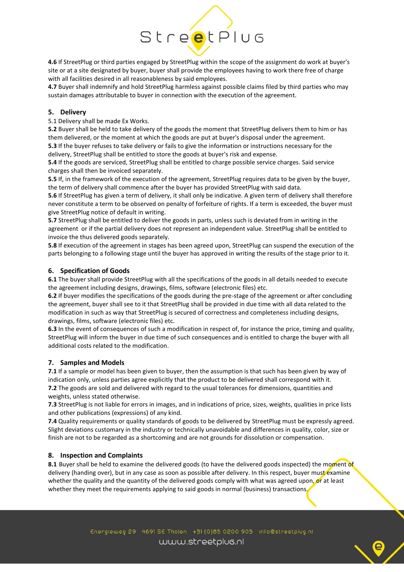

**4.6** If StreetPlug or third parties engaged by StreetPlug within the scope of the assignment do work at buyer's site or at a site designated by buyer, buyer shall provide the employees having to work there free of charge with all facilities desired in all reasonableness by said employees.

**4.7** Buyer shall indemnify and hold StreetPlug harmless against possible claims filed by third parties who may sustain damages attributable to buyer in connection with the execution of the agreement.

# **5. Delivery**

5.1 Delivery shall be made Ex Works.

**5.2** Buyer shall be held to take delivery of the goods the moment that StreetPlug delivers them to him or has them delivered, or the moment at which the goods are put at buyer's disposal under the agreement.

**5.3** If the buyer refuses to take delivery or fails to give the information or instructions necessary for the delivery, StreetPlug shall be entitled to store the goods at buyer's risk and expense.

**5.4** If the goods are serviced, StreetPlug shall be entitled to charge possible service charges. Said service charges shall then be invoiced separately.

**5.5** If, in the framework of the execution of the agreement, StreetPlug requires data to be given by the buyer, the term of delivery shall commence after the buyer has provided StreetPlug with said data.

**5.6** If StreetPlug has given a term of delivery, it shall only be indicative. A given term of delivery shall therefore never constitute a term to be observed on penalty of forfeiture of rights. If a term is exceeded, the buyer must give StreetPlug notice of default in writing.

**5.7** StreetPlug shall be entitled to deliver the goods in parts, unless such is deviated from in writing in the agreement or if the partial delivery does not represent an independent value. StreetPlug shall be entitled to invoice the thus delivered goods separately.

**5.8** If execution of the agreement in stages has been agreed upon, StreetPlug can suspend the execution of the parts belonging to a following stage until the buyer has approved in writing the results of the stage prior to it.

## **6. Specification of Goods**

**6.1** The buyer shall provide StreetPlug with all the specifications of the goods in all details needed to execute the agreement including designs, drawings, films, software (electronic files) etc.

**6.2** If buyer modifies the specifications of the goods during the pre-stage of the agreement or after concluding the agreement, buyer shall see to it that StreetPlug shall be provided in due time with all data related to the modification in such as way that StreetPlug is secured of correctness and completeness including designs, drawings, films, software (electronic files) etc.

**6.3** In the event of consequences of such a modification in respect of, for instance the price, timing and quality, StreetPlug will inform the buyer in due time of such consequences and is entitled to charge the buyer with all additional costs related to the modification.

#### **7. Samples and Models**

**7.1** If a sample or model has been given to buyer, then the assumption is that such has been given by way of indication only, unless parties agree explicitly that the product to be delivered shall correspond with it. **7.2** The goods are sold and delivered with regard to the usual tolerances for dimensions, quantities and weights, unless stated otherwise.

**7.3** StreetPlug is not liable for errors in images, and in indications of price, sizes, weights, qualities in price lists and other publications (expressions) of any kind.

**7.4** Quality requirements or quality standards of goods to be delivered by StreetPlug must be expressly agreed. Slight deviations customary in the industry or technically unavoidable and differences in quality, color, size or finish are not to be regarded as a shortcoming and are not grounds for dissolution or compensation.

#### **8. Inspection and Complaints**

8.1 Buyer shall be held to examine the delivered goods (to have the delivered goods inspected) the moment of delivery (handing over), but in any case as soon as possible after delivery. In this respect, buyer must examine whether the quality and the quantity of the delivered goods comply with what was agreed upon, or at least whether they meet the requirements applying to said goods in normal (business) transactions.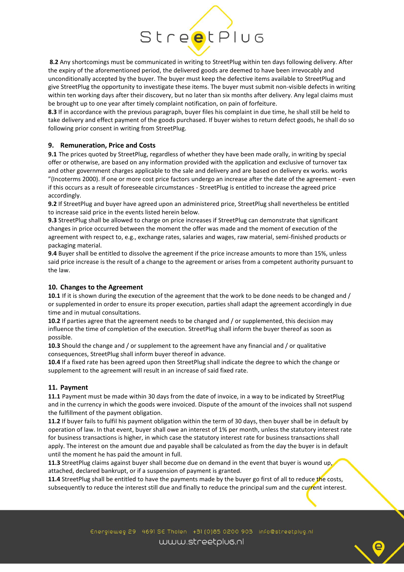# StreetPlug

**8.2** Any shortcomings must be communicated in writing to StreetPlug within ten days following delivery. After the expiry of the aforementioned period, the delivered goods are deemed to have been irrevocably and unconditionally accepted by the buyer. The buyer must keep the defective items available to StreetPlug and give StreetPlug the opportunity to investigate these items. The buyer must submit non-visible defects in writing within ten working days after their discovery, but no later than six months after delivery. Any legal claims must be brought up to one year after timely complaint notification, on pain of forfeiture.

**8.3** If in accordance with the previous paragraph, buyer files his complaint in due time, he shall still be held to take delivery and effect payment of the goods purchased. If buyer wishes to return defect goods, he shall do so following prior consent in writing from StreetPlug.

# **9. Remuneration, Price and Costs**

**9.1** The prices quoted by StreetPlug, regardless of whether they have been made orally, in writing by special offer or otherwise, are based on any information provided with the application and exclusive of turnover tax and other government charges applicable to the sale and delivery and are based on delivery ex works. works "(Incoterms 2000). If one or more cost price factors undergo an increase after the date of the agreement - even if this occurs as a result of foreseeable circumstances - StreetPlug is entitled to increase the agreed price accordingly.

**9.2** If StreetPlug and buyer have agreed upon an administered price, StreetPlug shall nevertheless be entitled to increase said price in the events listed herein below.

**9.3** StreetPlug shall be allowed to charge on price increases if StreetPlug can demonstrate that significant changes in price occurred between the moment the offer was made and the moment of execution of the agreement with respect to, e.g., exchange rates, salaries and wages, raw material, semi-finished products or packaging material.

**9.4** Buyer shall be entitled to dissolve the agreement if the price increase amounts to more than 15%, unless said price increase is the result of a change to the agreement or arises from a competent authority pursuant to the law.

#### **10. Changes to the Agreement**

**10.1** If it is shown during the execution of the agreement that the work to be done needs to be changed and / or supplemented in order to ensure its proper execution, parties shall adapt the agreement accordingly in due time and in mutual consultations.

**10.2** If parties agree that the agreement needs to be changed and / or supplemented, this decision may influence the time of completion of the execution. StreetPlug shall inform the buyer thereof as soon as possible.

**10.3** Should the change and / or supplement to the agreement have any financial and / or qualitative consequences, StreetPlug shall inform buyer thereof in advance.

**10.4** If a fixed rate has been agreed upon then StreetPlug shall indicate the degree to which the change or supplement to the agreement will result in an increase of said fixed rate.

# **11. Payment**

**11.1** Payment must be made within 30 days from the date of invoice, in a way to be indicated by StreetPlug and in the currency in which the goods were invoiced. Dispute of the amount of the invoices shall not suspend the fulfillment of the payment obligation.

**11.2** If buyer fails to fulfil his payment obligation within the term of 30 days, then buyer shall be in default by operation of law. In that event, buyer shall owe an interest of 1% per month, unless the statutory interest rate for business transactions is higher, in which case the statutory interest rate for business transactions shall apply. The interest on the amount due and payable shall be calculated as from the day the buyer is in default until the moment he has paid the amount in full.

11.3 StreetPlug claims against buyer shall become due on demand in the event that buyer is wound up, attached, declared bankrupt, or if a suspension of payment is granted.

**11.4** StreetPlug shall be entitled to have the payments made by the buyer go first of all to reduce the costs, subsequently to reduce the interest still due and finally to reduce the principal sum and the current interest.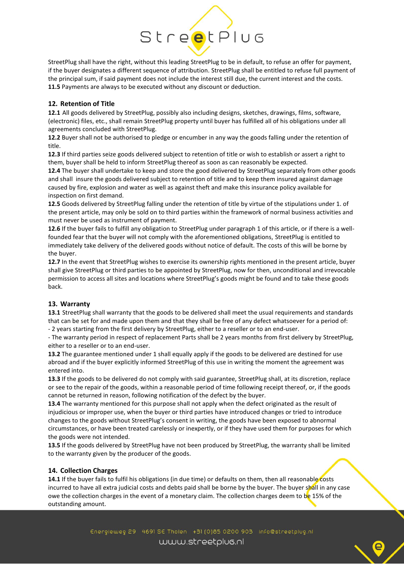

StreetPlug shall have the right, without this leading StreetPlug to be in default, to refuse an offer for payment, if the buyer designates a different sequence of attribution. StreetPlug shall be entitled to refuse full payment of the principal sum, if said payment does not include the interest still due, the current interest and the costs. **11.5** Payments are always to be executed without any discount or deduction.

# **12. Retention of Title**

**12.1** All goods delivered by StreetPlug, possibly also including designs, sketches, drawings, films, software, (electronic) files, etc., shall remain StreetPlug property until buyer has fulfilled all of his obligations under all agreements concluded with StreetPlug.

**12.2** Buyer shall not be authorised to pledge or encumber in any way the goods falling under the retention of title.

**12.3** If third parties seize goods delivered subject to retention of title or wish to establish or assert a right to them, buyer shall be held to inform StreetPlug thereof as soon as can reasonably be expected.

**12.4** The buyer shall undertake to keep and store the good delivered by StreetPlug separately from other goods and shall insure the goods delivered subject to retention of title and to keep them insured against damage caused by fire, explosion and water as well as against theft and make this insurance policy available for inspection on first demand.

**12.5** Goods delivered by StreetPlug falling under the retention of title by virtue of the stipulations under 1. of the present article, may only be sold on to third parties within the framework of normal business activities and must never be used as instrument of payment.

**12.6** If the buyer fails to fulfill any obligation to StreetPlug under paragraph 1 of this article, or if there is a wellfounded fear that the buyer will not comply with the aforementioned obligations, StreetPlug is entitled to immediately take delivery of the delivered goods without notice of default. The costs of this will be borne by the buyer.

**12.7** In the event that StreetPlug wishes to exercise its ownership rights mentioned in the present article, buyer shall give StreetPlug or third parties to be appointed by StreetPlug, now for then, unconditional and irrevocable permission to access all sites and locations where StreetPlug's goods might be found and to take these goods back.

#### **13. Warranty**

**13.1** StreetPlug shall warranty that the goods to be delivered shall meet the usual requirements and standards that can be set for and made upon them and that they shall be free of any defect whatsoever for a period of: - 2 years starting from the first delivery by StreetPlug, either to a reseller or to an end-user.

- The warranty period in respect of replacement Parts shall be 2 years months from first delivery by StreetPlug, either to a reseller or to an end-user.

**13.2** The guarantee mentioned under 1 shall equally apply if the goods to be delivered are destined for use abroad and if the buyer explicitly informed StreetPlug of this use in writing the moment the agreement was entered into.

**13.3** If the goods to be delivered do not comply with said guarantee, StreetPlug shall, at its discretion, replace or see to the repair of the goods, within a reasonable period of time following receipt thereof, or, if the goods cannot be returned in reason, following notification of the defect by the buyer.

**13.4** The warranty mentioned for this purpose shall not apply when the defect originated as the result of injudicious or improper use, when the buyer or third parties have introduced changes or tried to introduce changes to the goods without StreetPlug's consent in writing, the goods have been exposed to abnormal circumstances, or have been treated carelessly or inexpertly, or if they have used them for purposes for which the goods were not intended.

**13.5** If the goods delivered by StreetPlug have not been produced by StreetPlug, the warranty shall be limited to the warranty given by the producer of the goods.

# **14. Collection Charges**

**14.1** If the buyer fails to fulfil his obligations (in due time) or defaults on them, then all reasonable costs incurred to have all extra judicial costs and debts paid shall be borne by the buyer. The buyer shall in any case owe the collection charges in the event of a monetary claim. The collection charges deem to be 15% of the outstanding amount.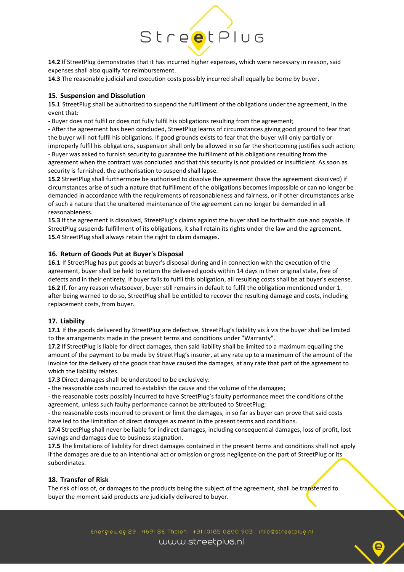# StreetPlug

**14.2** If StreetPlug demonstrates that it has incurred higher expenses, which were necessary in reason, said expenses shall also qualify for reimbursement.

**14.3** The reasonable judicial and execution costs possibly incurred shall equally be borne by buyer.

## **15. Suspension and Dissolution**

**15.1** StreetPlug shall be authorized to suspend the fulfillment of the obligations under the agreement, in the event that:

- Buyer does not fulfil or does not fully fulfil his obligations resulting from the agreement;

- After the agreement has been concluded, StreetPlug learns of circumstances giving good ground to fear that the buyer will not fulfil his obligations. If good grounds exists to fear that the buyer will only partially or improperly fulfil his obligations, suspension shall only be allowed in so far the shortcoming justifies such action;

- Buyer was asked to furnish security to guarantee the fulfillment of his obligations resulting from the agreement when the contract was concluded and that this security is not provided or insufficient. As soon as security is furnished, the authorisation to suspend shall lapse.

**15.2** StreetPlug shall furthermore be authorised to dissolve the agreement (have the agreement dissolved) if circumstances arise of such a nature that fulfillment of the obligations becomes impossible or can no longer be demanded in accordance with the requirements of reasonableness and fairness, or if other circumstances arise of such a nature that the unaltered maintenance of the agreement can no longer be demanded in all reasonableness.

**15.3** If the agreement is dissolved, StreetPlug's claims against the buyer shall be forthwith due and payable. If StreetPlug suspends fulfillment of its obligations, it shall retain its rights under the law and the agreement. **15.4** StreetPlug shall always retain the right to claim damages.

## **16. Return of Goods Put at Buyer's Disposal**

**16.1** If StreetPlug has put goods at buyer's disposal during and in connection with the execution of the agreement, buyer shall be held to return the delivered goods within 14 days in their original state, free of defects and in their entirety. If buyer fails to fulfil this obligation, all resulting costs shall be at buyer's expense. **16.2** If, for any reason whatsoever, buyer still remains in default to fulfil the obligation mentioned under 1. after being warned to do so, StreetPlug shall be entitled to recover the resulting damage and costs, including replacement costs, from buyer.

#### **17. Liability**

**17.1** If the goods delivered by StreetPlug are defective, StreetPlug's liability vis à vis the buyer shall be limited to the arrangements made in the present terms and conditions under "Warranty".

**17.2** If StreetPlug is liable for direct damages, then said liability shall be limited to a maximum equalling the amount of the payment to be made by StreetPlug's insurer, at any rate up to a maximum of the amount of the invoice for the delivery of the goods that have caused the damages, at any rate that part of the agreement to which the liability relates.

**17.3** Direct damages shall be understood to be exclusively:

- the reasonable costs incurred to establish the cause and the volume of the damages;

- the reasonable costs possibly incurred to have StreetPlug's faulty performance meet the conditions of the agreement, unless such faulty performance cannot be attributed to StreetPlug;

- the reasonable costs incurred to prevent or limit the damages, in so far as buyer can prove that said costs have led to the limitation of direct damages as meant in the present terms and conditions.

**17.4** StreetPlug shall never be liable for indirect damages, including consequential damages, loss of profit, lost savings and damages due to business stagnation.

**17.5** The limitations of liability for direct damages contained in the present terms and conditions shall not apply if the damages are due to an intentional act or omission or gross negligence on the part of StreetPlug or its subordinates.

# **18. Transfer of Risk**

The risk of loss of, or damages to the products being the subject of the agreement, shall be transferred to buyer the moment said products are judicially delivered to buyer.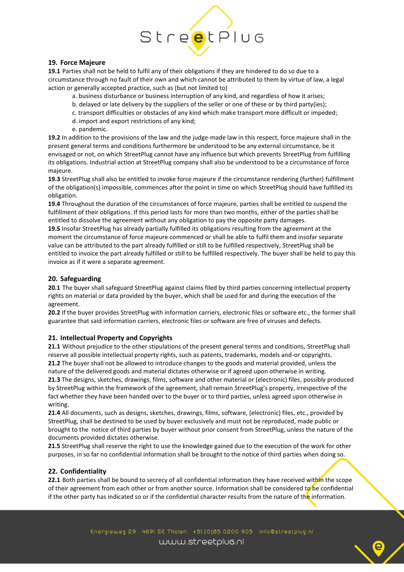

## **19. Force Majeure**

**19.1** Parties shall not be held to fulfil any of their obligations if they are hindered to do so due to a circumstance through no fault of their own and which cannot be attributed to them by virtue of law, a legal action or generally accepted practice, such as (but not limited to)

a. business disturbance or business interruption of any kind, and regardless of how it arises;

- b. delayed or late delivery by the suppliers of the seller or one of these or by third party(ies);
- c. transport difficulties or obstacles of any kind which make transport more difficult or impeded;
- d. import and export restrictions of any kind;
- e. pandemic.

**19.2** In addition to the provisions of the law and the judge-made law in this respect, force majeure shall in the present general terms and conditions furthermore be understood to be any external circumstance, be it envisaged or not, on which StreetPlug cannot have any influence but which prevents StreetPlug from fulfilling its obligations. Industrial action at StreetPlug company shall also be understood to be a circumstance of force majeure.

**19.3** StreetPlug shall also be entitled to invoke force majeure if the circumstance rendering (further) fulfillment of the obligation(s) impossible, commences after the point in time on which StreetPlug should have fulfilled its obligation.

**19.4** Throughout the duration of the circumstances of force majeure, parties shall be entitled to suspend the fulfillment of their obligations. If this period lasts for more than two months, either of the parties shall be entitled to dissolve the agreement without any obligation to pay the opposite party damages.

**19.5** Insofar StreetPlug has already partially fulfilled its obligations resulting from the agreement at the moment the circumstance of force majeure commenced or shall be able to fulfil them and insofar separate value can be attributed to the part already fulfilled or still to be fulfilled respectively, StreetPlug shall be entitled to invoice the part already fulfilled or still to be fulfilled respectively. The buyer shall be held to pay this invoice as if it were a separate agreement.

# **20. Safeguarding**

**20.1** The buyer shall safeguard StreetPlug against claims filed by third parties concerning intellectual property rights on material or data provided by the buyer, which shall be used for and during the execution of the agreement.

**20.2** If the buyer provides StreetPlug with information carriers, electronic files or software etc., the former shall guarantee that said information carriers, electronic files or software are free of viruses and defects.

# **21. Intellectual Property and Copyrights**

**21.1** Without prejudice to the other stipulations of the present general terms and conditions, StreetPlug shall reserve all possible intellectual property rights, such as patents, trademarks, models and-or copyrights. **21.2** The buyer shall not be allowed to introduce changes to the goods and material provided, unless the nature of the delivered goods and material dictates otherwise or if agreed upon otherwise in writing. **21.3** The designs, sketches, drawings, films, software and other material or (electronic) files, possibly produced by StreetPlug within the framework of the agreement, shall remain StreetPlug's property, irrespective of the fact whether they have been handed over to the buyer or to third parties, unless agreed upon otherwise in writing.

**21.4** All documents, such as designs, sketches, drawings, films, software, (electronic) files, etc., provided by StreetPlug, shall be destined to be used by buyer exclusively and must not be reproduced, made public or brought to the notice of third parties by buyer without prior consent from StreetPlug, unless the nature of the documents provided dictates otherwise.

**21.5** StreetPlug shall reserve the right to use the knowledge gained due to the execution of the work for other purposes, in so far no confidential information shall be brought to the notice of third parties when doing so.

# **22. Confidentiality**

**22.1** Both parties shall be bound to secrecy of all confidential information they have received within the scope of their agreement from each other or from another source. Information shall be considered to be confidential if the other party has indicated so or if the confidential character results from the nature of the information.